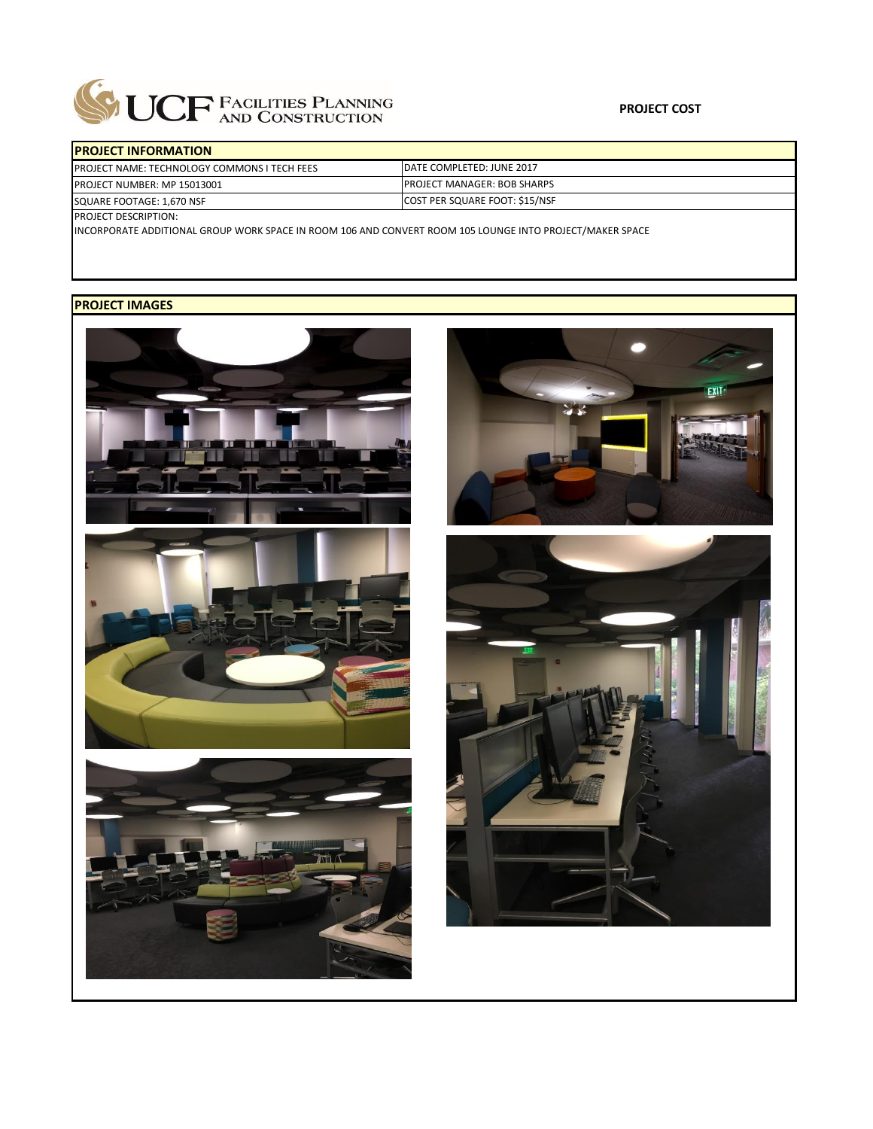

| <b>IPROJECT INFORMATION</b>                          |                                      |  |  |  |
|------------------------------------------------------|--------------------------------------|--|--|--|
| <b>IPROJECT NAME: TECHNOLOGY COMMONS I TECH FEES</b> | DATE COMPLETED: JUNE 2017            |  |  |  |
| <b>IPROJECT NUMBER: MP 15013001</b>                  | <b>IPROJECT MANAGER: BOB SHARPS</b>  |  |  |  |
| SQUARE FOOTAGE: 1,670 NSF                            | <b>COST PER SQUARE FOOT: S15/NSF</b> |  |  |  |
| InMICAT DECCDIDTION.                                 |                                      |  |  |  |

PROJECT DESCRIPTION:

INCORPORATE ADDITIONAL GROUP WORK SPACE IN ROOM 106 AND CONVERT ROOM 105 LOUNGE INTO PROJECT/MAKER SPACE

## **PROJECT IMAGES**